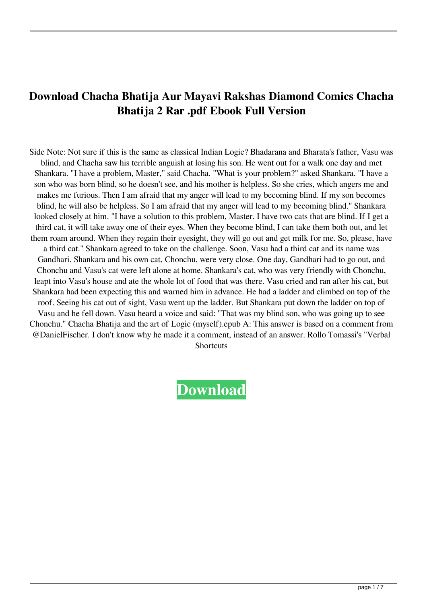## **Download Chacha Bhatija Aur Mayavi Rakshas Diamond Comics Chacha Bhatija 2 Rar .pdf Ebook Full Version**

Side Note: Not sure if this is the same as classical Indian Logic? Bhadarana and Bharata's father, Vasu was blind, and Chacha saw his terrible anguish at losing his son. He went out for a walk one day and met Shankara. "I have a problem, Master," said Chacha. "What is your problem?" asked Shankara. "I have a son who was born blind, so he doesn't see, and his mother is helpless. So she cries, which angers me and makes me furious. Then I am afraid that my anger will lead to my becoming blind. If my son becomes blind, he will also be helpless. So I am afraid that my anger will lead to my becoming blind." Shankara looked closely at him. "I have a solution to this problem, Master. I have two cats that are blind. If I get a third cat, it will take away one of their eyes. When they become blind, I can take them both out, and let them roam around. When they regain their eyesight, they will go out and get milk for me. So, please, have a third cat." Shankara agreed to take on the challenge. Soon, Vasu had a third cat and its name was Gandhari. Shankara and his own cat, Chonchu, were very close. One day, Gandhari had to go out, and Chonchu and Vasu's cat were left alone at home. Shankara's cat, who was very friendly with Chonchu, leapt into Vasu's house and ate the whole lot of food that was there. Vasu cried and ran after his cat, but Shankara had been expecting this and warned him in advance. He had a ladder and climbed on top of the roof. Seeing his cat out of sight, Vasu went up the ladder. But Shankara put down the ladder on top of Vasu and he fell down. Vasu heard a voice and said: "That was my blind son, who was going up to see Chonchu." Chacha Bhatija and the art of Logic (myself).epub A: This answer is based on a comment from @DanielFischer. I don't know why he made it a comment, instead of an answer. Rollo Tomassi's "Verbal **Shortcuts** 

## **[Download](http://evacdir.com/bewitched/solely/bustups.Q2hhY2hhIEJoYXRpamEgQXVyIE1heWF2aSBSYWtzaGFzIChIaW5kaSkgKERpYW1vbmQgQ29taWNzIENoYWNoYSBCaGF0aWphIEJvb2sgMikuZXB1YgQ2h?intercede&outward=ZG93bmxvYWR8UXUyTVhrNU9YeDhNVFkxTWpjME1EZzJObng4TWpVM05IeDhLRTBwSUhKbFlXUXRZbXh2WnlCYlJtRnpkQ0JIUlU1ZA)**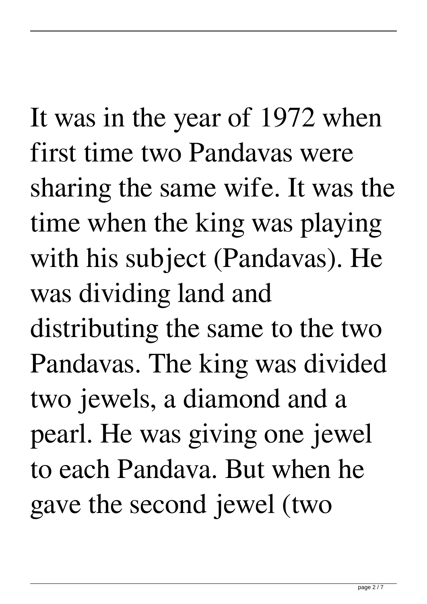It was in the year of 1972 when first time two Pandavas were sharing the same wife. It was the time when the king was playing with his subject (Pandavas). He was dividing land and

distributing the same to the two Pandavas. The king was divided two jewels, a diamond and a pearl. He was giving one jewel to each Pandava. But when he gave the second jewel (two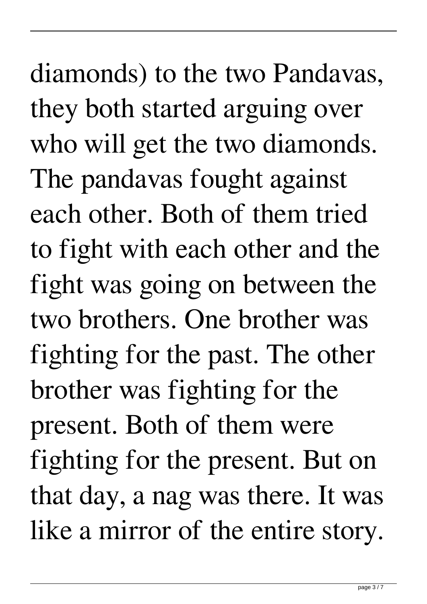diamonds) to the two Pandavas, they both started arguing over who will get the two diamonds. The pandavas fought against each other. Both of them tried to fight with each other and the fight was going on between the two brothers. One brother was fighting for the past. The other brother was fighting for the present. Both of them were fighting for the present. But on that day, a nag was there. It was like a mirror of the entire story.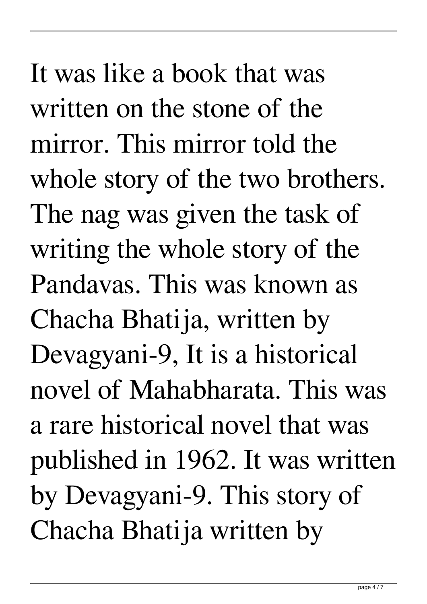It was like a book that was written on the stone of the mirror. This mirror told the whole story of the two brothers. The nag was given the task of writing the whole story of the Pandavas. This was known as Chacha Bhatija, written by Devagyani-9, It is a historical novel of Mahabharata. This was a rare historical novel that was published in 1962. It was written by Devagyani-9. This story of Chacha Bhatija written by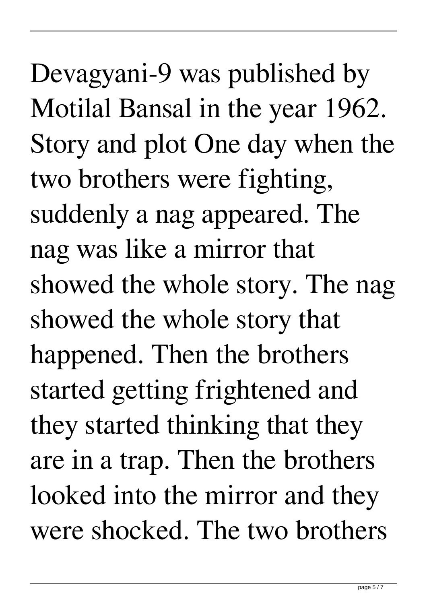Devagyani-9 was published by Motilal Bansal in the year 1962. Story and plot One day when the two brothers were fighting, suddenly a nag appeared. The nag was like a mirror that showed the whole story. The nag showed the whole story that happened. Then the brothers started getting frightened and they started thinking that they are in a trap. Then the brothers looked into the mirror and they were shocked. The two brothers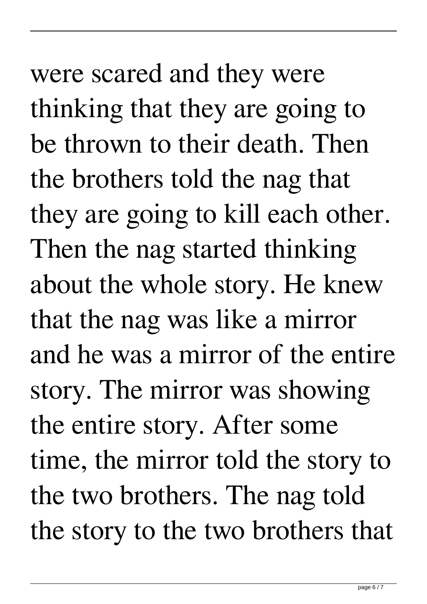were scared and they were thinking that they are going to be thrown to their death. Then the brothers told the nag that they are going to kill each other. Then the nag started thinking about the whole story. He knew that the nag was like a mirror and he was a mirror of the entire story. The mirror was showing the entire story. After some time, the mirror told the story to the two brothers. The nag told the story to the two brothers that